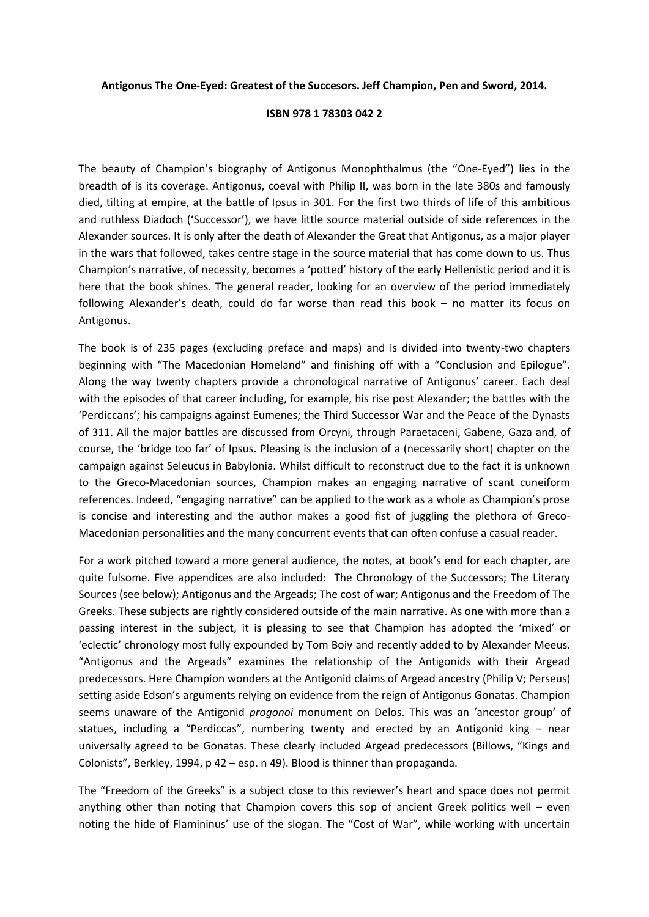## **Antigonus The One-Eyed: Greatest of the Succesors. Jeff Champion, Pen and Sword, 2014.**

## **ISBN 978 1 78303 042 2**

The beauty of Champion's biography of Antigonus Monophthalmus (the "One-Eyed") lies in the breadth of is its coverage. Antigonus, coeval with Philip II, was born in the late 380s and famously died, tilting at empire, at the battle of Ipsus in 301. For the first two thirds of life of this ambitious and ruthless Diadoch ('Successor'), we have little source material outside of side references in the Alexander sources. It is only after the death of Alexander the Great that Antigonus, as a major player in the wars that followed, takes centre stage in the source material that has come down to us. Thus Champion's narrative, of necessity, becomes a 'potted' history of the early Hellenistic period and it is here that the book shines. The general reader, looking for an overview of the period immediately following Alexander's death, could do far worse than read this book – no matter its focus on Antigonus.

The book is of 235 pages (excluding preface and maps) and is divided into twenty-two chapters beginning with "The Macedonian Homeland" and finishing off with a "Conclusion and Epilogue". Along the way twenty chapters provide a chronological narrative of Antigonus' career. Each deal with the episodes of that career including, for example, his rise post Alexander; the battles with the 'Perdiccans'; his campaigns against Eumenes; the Third Successor War and the Peace of the Dynasts of 311. All the major battles are discussed from Orcyni, through Paraetaceni, Gabene, Gaza and, of course, the 'bridge too far' of Ipsus. Pleasing is the inclusion of a (necessarily short) chapter on the campaign against Seleucus in Babylonia. Whilst difficult to reconstruct due to the fact it is unknown to the Greco-Macedonian sources, Champion makes an engaging narrative of scant cuneiform references. Indeed, "engaging narrative" can be applied to the work as a whole as Champion's prose is concise and interesting and the author makes a good fist of juggling the plethora of Greco-Macedonian personalities and the many concurrent events that can often confuse a casual reader.

For a work pitched toward a more general audience, the notes, at book's end for each chapter, are quite fulsome. Five appendices are also included: The Chronology of the Successors; The Literary Sources (see below); Antigonus and the Argeads; The cost of war; Antigonus and the Freedom of The Greeks. These subjects are rightly considered outside of the main narrative. As one with more than a passing interest in the subject, it is pleasing to see that Champion has adopted the 'mixed' or 'eclectic' chronology most fully expounded by Tom Boiy and recently added to by Alexander Meeus. "Antigonus and the Argeads" examines the relationship of the Antigonids with their Argead predecessors. Here Champion wonders at the Antigonid claims of Argead ancestry (Philip V; Perseus) setting aside Edson's arguments relying on evidence from the reign of Antigonus Gonatas. Champion seems unaware of the Antigonid *progonoi* monument on Delos. This was an 'ancestor group' of statues, including a "Perdiccas", numbering twenty and erected by an Antigonid king – near universally agreed to be Gonatas. These clearly included Argead predecessors (Billows, "Kings and Colonists", Berkley, 1994, p 42 – esp. n 49). Blood is thinner than propaganda.

The "Freedom of the Greeks" is a subject close to this reviewer's heart and space does not permit anything other than noting that Champion covers this sop of ancient Greek politics well – even noting the hide of Flamininus' use of the slogan. The "Cost of War", while working with uncertain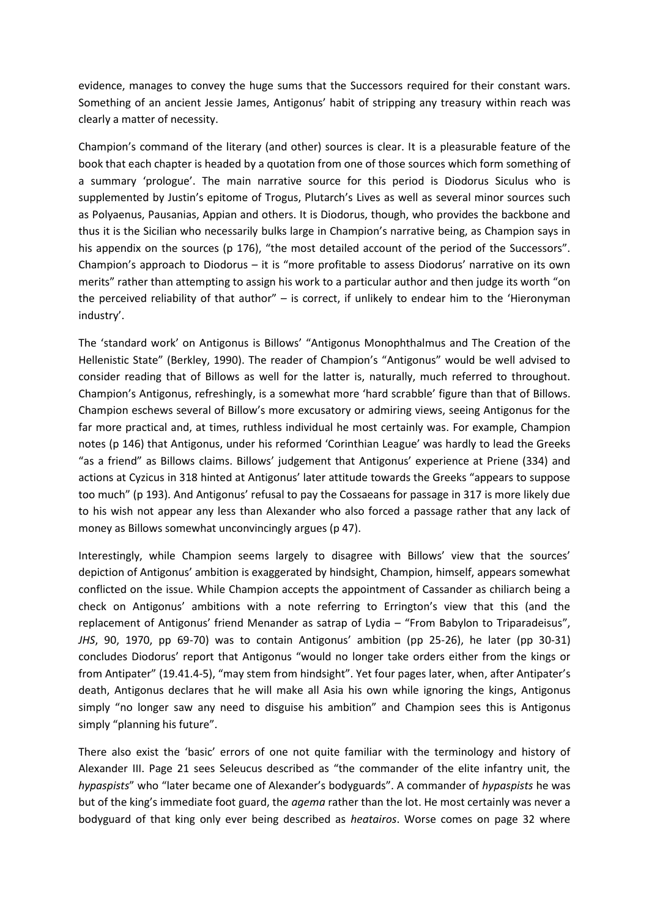evidence, manages to convey the huge sums that the Successors required for their constant wars. Something of an ancient Jessie James, Antigonus' habit of stripping any treasury within reach was clearly a matter of necessity.

Champion's command of the literary (and other) sources is clear. It is a pleasurable feature of the book that each chapter is headed by a quotation from one of those sources which form something of a summary 'prologue'. The main narrative source for this period is Diodorus Siculus who is supplemented by Justin's epitome of Trogus, Plutarch's Lives as well as several minor sources such as Polyaenus, Pausanias, Appian and others. It is Diodorus, though, who provides the backbone and thus it is the Sicilian who necessarily bulks large in Champion's narrative being, as Champion says in his appendix on the sources (p 176), "the most detailed account of the period of the Successors". Champion's approach to Diodorus – it is "more profitable to assess Diodorus' narrative on its own merits" rather than attempting to assign his work to a particular author and then judge its worth "on the perceived reliability of that author" – is correct, if unlikely to endear him to the 'Hieronyman industry'.

The 'standard work' on Antigonus is Billows' "Antigonus Monophthalmus and The Creation of the Hellenistic State" (Berkley, 1990). The reader of Champion's "Antigonus" would be well advised to consider reading that of Billows as well for the latter is, naturally, much referred to throughout. Champion's Antigonus, refreshingly, is a somewhat more 'hard scrabble' figure than that of Billows. Champion eschews several of Billow's more excusatory or admiring views, seeing Antigonus for the far more practical and, at times, ruthless individual he most certainly was. For example, Champion notes (p 146) that Antigonus, under his reformed 'Corinthian League' was hardly to lead the Greeks "as a friend" as Billows claims. Billows' judgement that Antigonus' experience at Priene (334) and actions at Cyzicus in 318 hinted at Antigonus' later attitude towards the Greeks "appears to suppose too much" (p 193). And Antigonus' refusal to pay the Cossaeans for passage in 317 is more likely due to his wish not appear any less than Alexander who also forced a passage rather that any lack of money as Billows somewhat unconvincingly argues (p 47).

Interestingly, while Champion seems largely to disagree with Billows' view that the sources' depiction of Antigonus' ambition is exaggerated by hindsight, Champion, himself, appears somewhat conflicted on the issue. While Champion accepts the appointment of Cassander as chiliarch being a check on Antigonus' ambitions with a note referring to Errington's view that this (and the replacement of Antigonus' friend Menander as satrap of Lydia – "From Babylon to Triparadeisus", *JHS*, 90, 1970, pp 69-70) was to contain Antigonus' ambition (pp 25-26), he later (pp 30-31) concludes Diodorus' report that Antigonus "would no longer take orders either from the kings or from Antipater" (19.41.4-5), "may stem from hindsight". Yet four pages later, when, after Antipater's death, Antigonus declares that he will make all Asia his own while ignoring the kings, Antigonus simply "no longer saw any need to disguise his ambition" and Champion sees this is Antigonus simply "planning his future".

There also exist the 'basic' errors of one not quite familiar with the terminology and history of Alexander III. Page 21 sees Seleucus described as "the commander of the elite infantry unit, the *hypaspists*" who "later became one of Alexander's bodyguards". A commander of *hypaspists* he was but of the king's immediate foot guard, the *agema* rather than the lot. He most certainly was never a bodyguard of that king only ever being described as *heatairos*. Worse comes on page 32 where